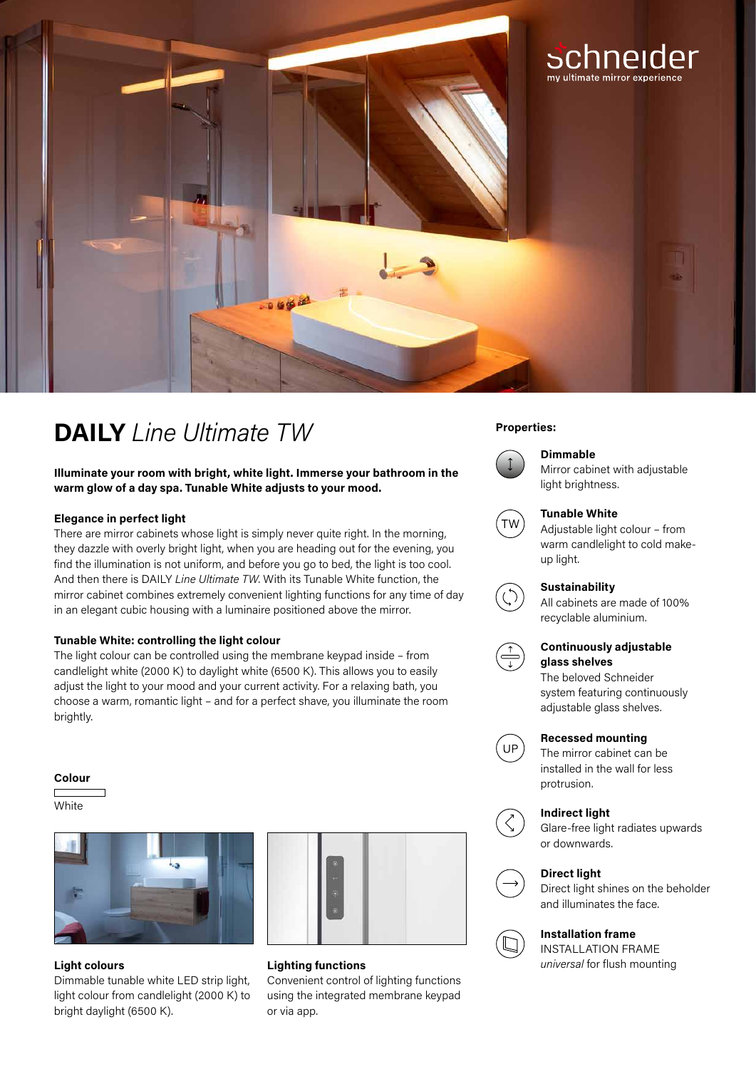

## **Properties: DAILY** *Line Ultimate TW*

**Illuminate your room with bright, white light. Immerse your bathroom in the warm glow of a day spa. Tunable White adjusts to your mood.**

#### **Elegance in perfect light**

There are mirror cabinets whose light is simply never quite right. In the morning, they dazzle with overly bright light, when you are heading out for the evening, you find the illumination is not uniform, and before you go to bed, the light is too cool. And then there is DAILY *Line Ultimate TW*. With its Tunable White function, the mirror cabinet combines extremely convenient lighting functions for any time of day in an elegant cubic housing with a luminaire positioned above the mirror.

#### **Tunable White: controlling the light colour**

The light colour can be controlled using the membrane keypad inside – from candlelight white (2000 K) to daylight white (6500 K). This allows you to easily adjust the light to your mood and your current activity. For a relaxing bath, you choose a warm, romantic light – and for a perfect shave, you illuminate the room brightly.

#### **Colour**

**White** 



Dimmable tunable white LED strip light, light colour from candlelight (2000 K) to bright daylight (6500 K).



# **Lighting functions**

Convenient control of lighting functions using the integrated membrane keypad or via app.



### **Dimmable**

Mirror cabinet with adjustable light brightness.



#### **Tunable White**

Adjustable light colour – from warm candlelight to cold makeup light.

#### **Sustainability**

All cabinets are made of 100% recyclable aluminium.



### **Continuously adjustable glass shelves**

The beloved Schneider system featuring continuously adjustable glass shelves.



### **Recessed mounting**

The mirror cabinet can be installed in the wall for less protrusion.

#### **Indirect light**



Glare-free light radiates upwards or downwards.



## **Direct light**

Direct light shines on the beholder and illuminates the face.

### **Installation frame**

INSTALLATION FRAME **Light colours Lighting functions universal for flush mounting**